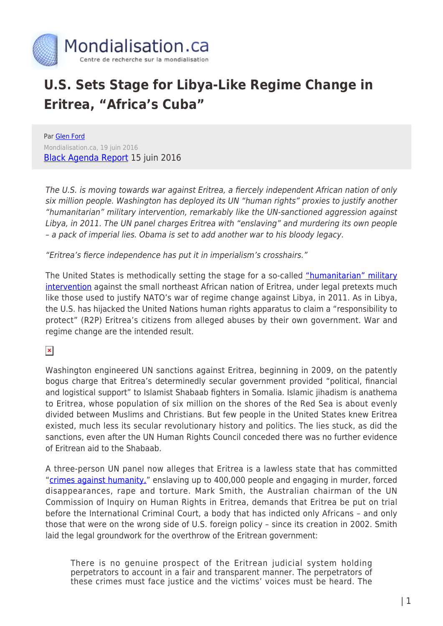

## **U.S. Sets Stage for Libya-Like Regime Change in Eritrea, "Africa's Cuba"**

Par [Glen Ford](https://www.mondialisation.ca/author/glen-ford) Mondialisation.ca, 19 juin 2016 [Black Agenda Report](http://www.blackagendareport.com/us_plots_war_against_eritrea) 15 juin 2016

The U.S. is moving towards war against Eritrea, a fiercely independent African nation of only six million people. Washington has deployed its UN "human rights" proxies to justify another "humanitarian" military intervention, remarkably like the UN-sanctioned aggression against Libya, in 2011. The UN panel charges Eritrea with "enslaving" and murdering its own people – a pack of imperial lies. Obama is set to add another war to his bloody legacy.

"Eritrea's fierce independence has put it in imperialism's crosshairs."

The United States is methodically setting the stage for a so-called ["humanitarian" military](https://www.theguardian.com/world/2016/jun/08/un-commission-eritrea-international-criminal-court-hague) [intervention](https://www.theguardian.com/world/2016/jun/08/un-commission-eritrea-international-criminal-court-hague) against the small northeast African nation of Eritrea, under legal pretexts much like those used to justify NATO's war of regime change against Libya, in 2011. As in Libya, the U.S. has hijacked the United Nations human rights apparatus to claim a "responsibility to protect" (R2P) Eritrea's citizens from alleged abuses by their own government. War and regime change are the intended result.

 $\pmb{\times}$ 

Washington engineered UN sanctions against Eritrea, beginning in 2009, on the patently bogus charge that Eritrea's determinedly secular government provided "political, financial and logistical support" to Islamist Shabaab fighters in Somalia. Islamic jihadism is anathema to Eritrea, whose population of six million on the shores of the Red Sea is about evenly divided between Muslims and Christians. But few people in the United States knew Eritrea existed, much less its secular revolutionary history and politics. The lies stuck, as did the sanctions, even after the UN Human Rights Council conceded there was no further evidence of Eritrean aid to the Shabaab.

A three-person UN panel now alleges that Eritrea is a lawless state that has committed "[crimes against humanity,"](http://www.ohchr.org/Documents/HRBodies/HRCouncil/CoIEritrea/A_HRC_32_CRP.1_read-only.pdf) enslaving up to 400,000 people and engaging in murder, forced disappearances, rape and torture. Mark Smith, the Australian chairman of the UN Commission of Inquiry on Human Rights in Eritrea, demands that Eritrea be put on trial before the International Criminal Court, a body that has indicted only Africans – and only those that were on the wrong side of U.S. foreign policy – since its creation in 2002. Smith laid the legal groundwork for the overthrow of the Eritrean government:

There is no genuine prospect of the Eritrean judicial system holding perpetrators to account in a fair and transparent manner. The perpetrators of these crimes must face justice and the victims' voices must be heard. The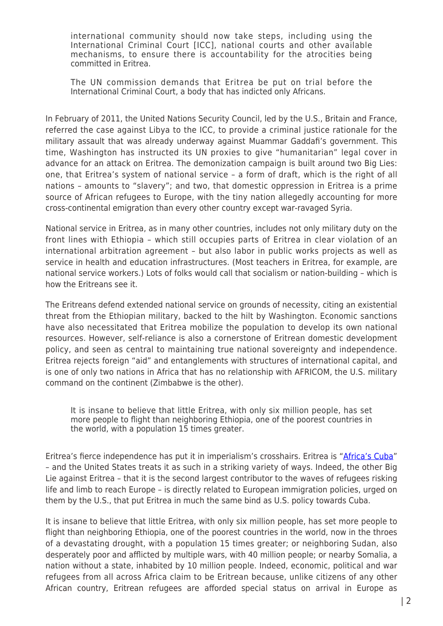international community should now take steps, including using the International Criminal Court [ICC], national courts and other available mechanisms, to ensure there is accountability for the atrocities being committed in Eritrea.

The UN commission demands that Eritrea be put on trial before the International Criminal Court, a body that has indicted only Africans.

In February of 2011, the United Nations Security Council, led by the U.S., Britain and France, referred the case against Libya to the ICC, to provide a criminal justice rationale for the military assault that was already underway against Muammar Gaddafi's government. This time, Washington has instructed its UN proxies to give "humanitarian" legal cover in advance for an attack on Eritrea. The demonization campaign is built around two Big Lies: one, that Eritrea's system of national service – a form of draft, which is the right of all nations – amounts to "slavery"; and two, that domestic oppression in Eritrea is a prime source of African refugees to Europe, with the tiny nation allegedly accounting for more cross-continental emigration than every other country except war-ravaged Syria.

National service in Eritrea, as in many other countries, includes not only military duty on the front lines with Ethiopia – which still occupies parts of Eritrea in clear violation of an international arbitration agreement – but also labor in public works projects as well as service in health and education infrastructures. (Most teachers in Eritrea, for example, are national service workers.) Lots of folks would call that socialism or nation-building – which is how the Eritreans see it.

The Eritreans defend extended national service on grounds of necessity, citing an existential threat from the Ethiopian military, backed to the hilt by Washington. Economic sanctions have also necessitated that Eritrea mobilize the population to develop its own national resources. However, self-reliance is also a cornerstone of Eritrean domestic development policy, and seen as central to maintaining true national sovereignty and independence. Eritrea rejects foreign "aid" and entanglements with structures of international capital, and is one of only two nations in Africa that has no relationship with AFRICOM, the U.S. military command on the continent (Zimbabwe is the other).

It is insane to believe that little Eritrea, with only six million people, has set more people to flight than neighboring Ethiopia, one of the poorest countries in the world, with a population 15 times greater.

Eritrea's fierce independence has put it in imperialism's crosshairs. Eritrea is "[Africa's Cuba"](http://www.blackagendareport.com/amare-eritrea-endures-sanctions-occupation) – and the United States treats it as such in a striking variety of ways. Indeed, the other Big Lie against Eritrea – that it is the second largest contributor to the waves of refugees risking life and limb to reach Europe – is directly related to European immigration policies, urged on them by the U.S., that put Eritrea in much the same bind as U.S. policy towards Cuba.

It is insane to believe that little Eritrea, with only six million people, has set more people to flight than neighboring Ethiopia, one of the poorest countries in the world, now in the throes of a devastating drought, with a population 15 times greater; or neighboring Sudan, also desperately poor and afflicted by multiple wars, with 40 million people; or nearby Somalia, a nation without a state, inhabited by 10 million people. Indeed, economic, political and war refugees from all across Africa claim to be Eritrean because, unlike citizens of any other African country, Eritrean refugees are afforded special status on arrival in Europe as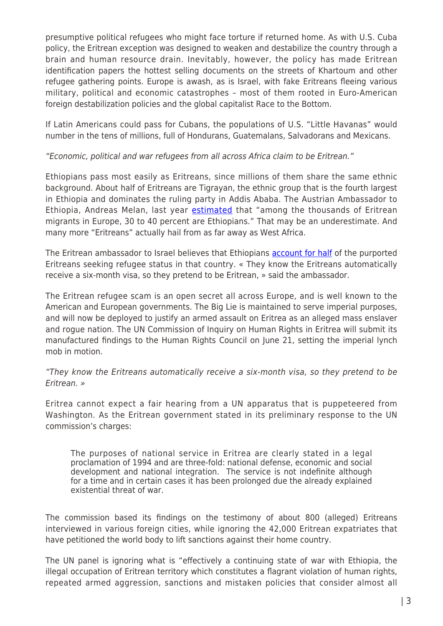presumptive political refugees who might face torture if returned home. As with U.S. Cuba policy, the Eritrean exception was designed to weaken and destabilize the country through a brain and human resource drain. Inevitably, however, the policy has made Eritrean identification papers the hottest selling documents on the streets of Khartoum and other refugee gathering points. Europe is awash, as is Israel, with fake Eritreans fleeing various military, political and economic catastrophes – most of them rooted in Euro-American foreign destabilization policies and the global capitalist Race to the Bottom.

If Latin Americans could pass for Cubans, the populations of U.S. "Little Havanas" would number in the tens of millions, full of Hondurans, Guatemalans, Salvadorans and Mexicans.

## "Economic, political and war refugees from all across Africa claim to be Eritrean."

Ethiopians pass most easily as Eritreans, since millions of them share the same ethnic background. About half of Eritreans are Tigrayan, the ethnic group that is the fourth largest in Ethiopia and dominates the ruling party in Addis Ababa. The Austrian Ambassador to Ethiopia, Andreas Melan, last year [estimated](http://www.tesfanews.net/40-percent-of-eritrean-migrants-in-europe-are-ethiopians/) that "among the thousands of Eritrean migrants in Europe, 30 to 40 percent are Ethiopians." That may be an underestimate. And many more "Eritreans" actually hail from as far away as West Africa.

The Eritrean ambassador to Israel believes that Ethiopians [account for half](http://www.madote.com/2013/12/the-politicization-of-eritreas-economic.html) of the purported Eritreans seeking refugee status in that country. « They know the Eritreans automatically receive a six-month visa, so they pretend to be Eritrean, » said the ambassador.

The Eritrean refugee scam is an open secret all across Europe, and is well known to the American and European governments. The Big Lie is maintained to serve imperial purposes, and will now be deployed to justify an armed assault on Eritrea as an alleged mass enslaver and rogue nation. The UN Commission of Inquiry on Human Rights in Eritrea will submit its manufactured findings to the Human Rights Council on June 21, setting the imperial lynch mob in motion.

## "They know the Eritreans automatically receive a six-month visa, so they pretend to be Eritrean. »

Eritrea cannot expect a fair hearing from a UN apparatus that is puppeteered from Washington. As the Eritrean government stated in its preliminary response to the UN commission's charges:

The purposes of national service in Eritrea are clearly stated in a legal proclamation of 1994 and are three-fold: national defense, economic and social development and national integration. The service is not indefinite although for a time and in certain cases it has been prolonged due the already explained existential threat of war.

The commission based its findings on the testimony of about 800 (alleged) Eritreans interviewed in various foreign cities, while ignoring the 42,000 Eritrean expatriates that have petitioned the world body to lift sanctions against their home country.

The UN panel is ignoring what is "effectively a continuing state of war with Ethiopia, the illegal occupation of Eritrean territory which constitutes a flagrant violation of human rights, repeated armed aggression, sanctions and mistaken policies that consider almost all